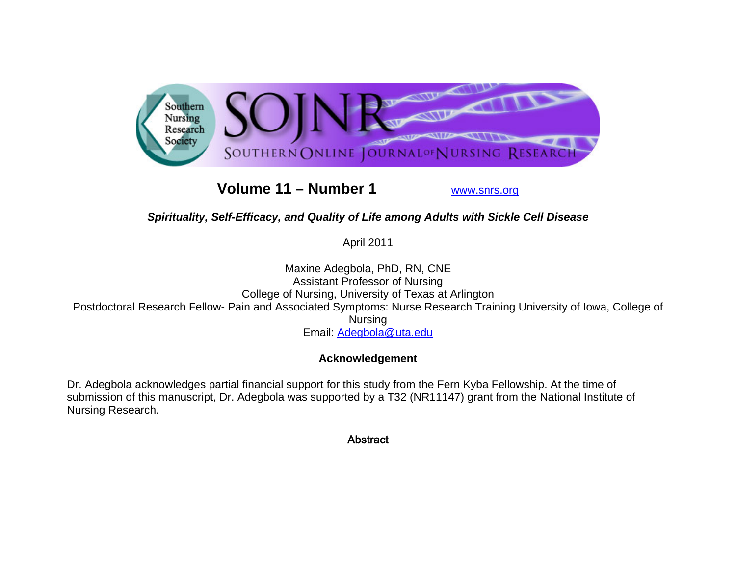

**Volume 11 – Number 1**

www.snrs.org

## *Spirituality, Self-Efficacy, and Quality of Life among Adults with Sickle Cell Disease*

April 2011

Maxine Adegbola, PhD, RN, CNE Assistant Professor of Nursing College of Nursing, University of Texas at Arlington Postdoctoral Research Fellow- Pain and Associated Symptoms: Nurse Research Training University of Iowa, College of Nursing Email: Adegbola@uta.edu

## **Acknowledgement**

Dr. Adegbola acknowledges partial financial support for this study from the Fern Kyba Fellowship. At the time of submission of this manuscript, Dr. Adegbola was supported by a T32 (NR11147) grant from the National Institute of Nursing Research.

**Abstract**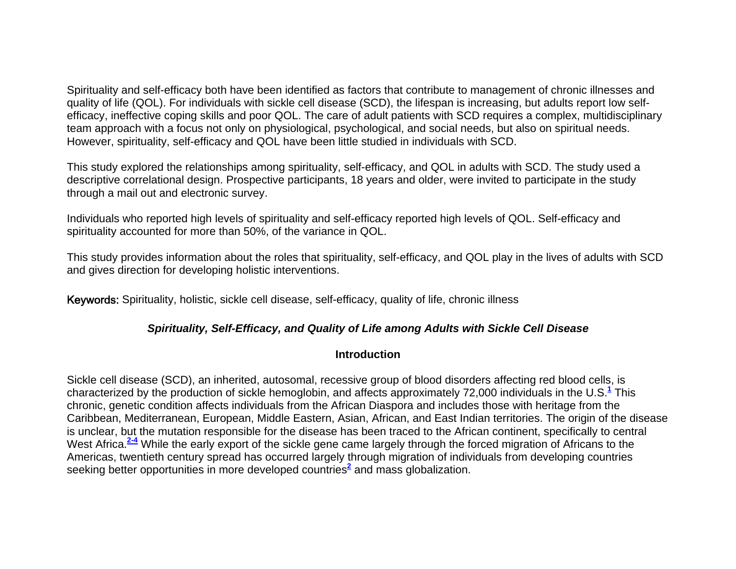Spirituality and self-efficacy both have been identified as factors that contribute to management of chronic illnesses and quality of life (QOL). For individuals with sickle cell disease (SCD), the lifespan is increasing, but adults report low selfefficacy, ineffective coping skills and poor QOL. The care of adult patients with SCD requires a complex, multidisciplinary team approach with a focus not only on physiological, psychological, and social needs, but also on spiritual needs. However, spirituality, self-efficacy and QOL have been little studied in individuals with SCD.

This study explored the relationships among spirituality, self-efficacy, and QOL in adults with SCD. The study used a descriptive correlational design. Prospective participants, 18 years and older, were invited to participate in the study through a mail out and electronic survey.

Individuals who reported high levels of spirituality and self-efficacy reported high levels of QOL. Self-efficacy and spirituality accounted for more than 50%, of the variance in QOL.

This study provides information about the roles that spirituality, self-efficacy, and QOL play in the lives of adults with SCD and gives direction for developing holistic interventions.

Keywords: Spirituality, holistic, sickle cell disease, self-efficacy, quality of life, chronic illness

## *Spirituality, Self-Efficacy, and Quality of Life among Adults with Sickle Cell Disease*

#### **Introduction**

Sickle cell disease (SCD), an inherited, autosomal, recessive group of blood disorders affecting red blood cells, is characterized by the production of sickle hemoglobin, and affects approximately 72,000 individuals in the U.S.**<sup>1</sup>** This chronic, genetic condition affects individuals from the African Diaspora and includes those with heritage from the Caribbean, Mediterranean, European, Middle Eastern, Asian, African, and East Indian territories. The origin of the disease is unclear, but the mutation responsible for the disease has been traced to the African continent, specifically to central West Africa.<sup>2-4</sup> While the early export of the sickle gene came largely through the forced migration of Africans to the Americas, twentieth century spread has occurred largely through migration of individuals from developing countries seeking better opportunities in more developed countries**<sup>2</sup>** and mass globalization.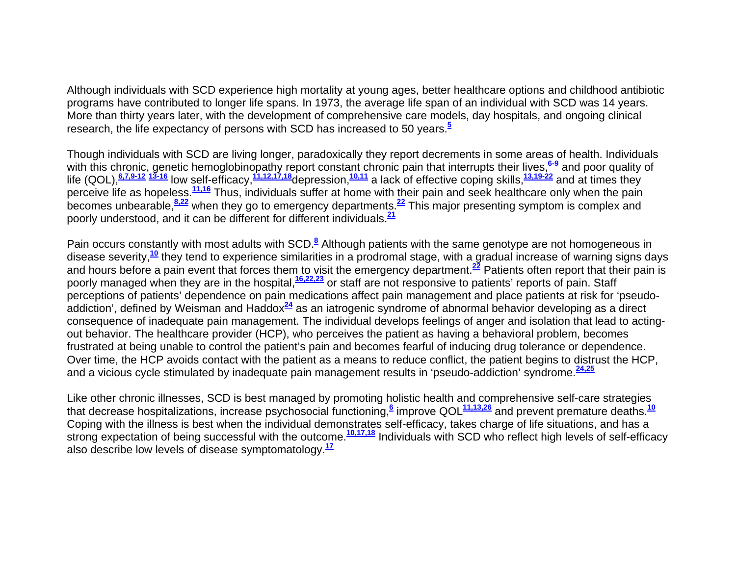Although individuals with SCD experience high mortality at young ages, better healthcare options and childhood antibiotic programs have contributed to longer life spans. In 1973, the average life span of an individual with SCD was 14 years. More than thirty years later, with the development of comprehensive care models, day hospitals, and ongoing clinical research, the life expectancy of persons with SCD has increased to 50 years.**<sup>5</sup>**

Though individuals with SCD are living longer, paradoxically they report decrements in some areas of health. Individuals with this chronic, genetic hemoglobinopathy report constant chronic pain that interrupts their lives,<sup>6-9</sup> and poor quality of life (QOL),**6,7,9-12 13-16** low self-efficacy,**11,12,17,18**depression,**10,11** a lack of effective coping skills,**13,19-22** and at times they perceive life as hopeless.**11,16** Thus, individuals suffer at home with their pain and seek healthcare only when the pain becomes unbearable,**8,22** when they go to emergency departments.**<sup>22</sup>** This major presenting symptom is complex and poorly understood, and it can be different for different individuals.**<sup>21</sup>**

Pain occurs constantly with most adults with SCD.**<sup>8</sup>** Although patients with the same genotype are not homogeneous in disease severity,**<sup>10</sup>** they tend to experience similarities in a prodromal stage, with a gradual increase of warning signs days and hours before a pain event that forces them to visit the emergency department.**<sup>22</sup>** Patients often report that their pain is poorly managed when they are in the hospital,**16,22,23** or staff are not responsive to patients' reports of pain. Staff perceptions of patients' dependence on pain medications affect pain management and place patients at risk for 'pseudoaddiction', defined by Weisman and Haddox**<sup>24</sup>** as an iatrogenic syndrome of abnormal behavior developing as a direct consequence of inadequate pain management. The individual develops feelings of anger and isolation that lead to actingout behavior. The healthcare provider (HCP), who perceives the patient as having a behavioral problem, becomes frustrated at being unable to control the patient's pain and becomes fearful of inducing drug tolerance or dependence. Over time, the HCP avoids contact with the patient as a means to reduce conflict, the patient begins to distrust the HCP, and a vicious cycle stimulated by inadequate pain management results in 'pseudo-addiction' syndrome.**24,25**

Like other chronic illnesses, SCD is best managed by promoting holistic health and comprehensive self-care strategies that decrease hospitalizations, increase psychosocial functioning,**<sup>6</sup>** improve QOL**11,13,26** and prevent premature deaths.**<sup>10</sup>** Coping with the illness is best when the individual demonstrates self-efficacy, takes charge of life situations, and has a strong expectation of being successful with the outcome.**10,17,18** Individuals with SCD who reflect high levels of self-efficacy also describe low levels of disease symptomatology.**<sup>17</sup>**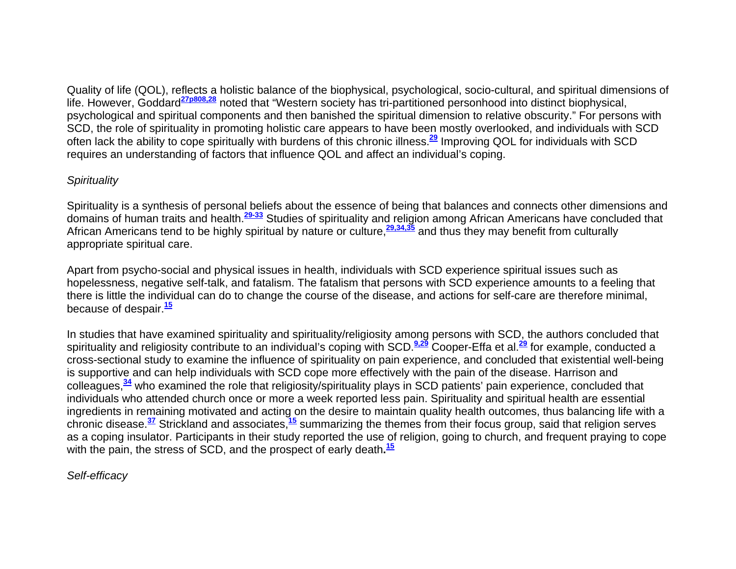Quality of life (QOL), reflects a holistic balance of the biophysical, psychological, socio-cultural, and spiritual dimensions of life. However, Goddard**27p808,28** noted that "Western society has tri-partitioned personhood into distinct biophysical, psychological and spiritual components and then banished the spiritual dimension to relative obscurity." For persons with SCD, the role of spirituality in promoting holistic care appears to have been mostly overlooked, and individuals with SCD often lack the ability to cope spiritually with burdens of this chronic illness.**<sup>29</sup>** Improving QOL for individuals with SCD requires an understanding of factors that influence QOL and affect an individual's coping.

## *Spirituality*

Spirituality is a synthesis of personal beliefs about the essence of being that balances and connects other dimensions and domains of human traits and health.**29-33** Studies of spirituality and religion among African Americans have concluded that African Americans tend to be highly spiritual by nature or culture,**29,34,35** and thus they may benefit from culturally appropriate spiritual care.

Apart from psycho-social and physical issues in health, individuals with SCD experience spiritual issues such as hopelessness, negative self-talk, and fatalism. The fatalism that persons with SCD experience amounts to a feeling that there is little the individual can do to change the course of the disease, and actions for self-care are therefore minimal, because of despair.**<sup>15</sup>**

In studies that have examined spirituality and spirituality/religiosity among persons with SCD, the authors concluded that spirituality and religiosity contribute to an individual's coping with SCD.**9,29** Cooper-Effa et al.**<sup>29</sup>** for example, conducted a cross-sectional study to examine the influence of spirituality on pain experience, and concluded that existential well-being is supportive and can help individuals with SCD cope more effectively with the pain of the disease. Harrison and colleagues,**<sup>34</sup>** who examined the role that religiosity/spirituality plays in SCD patients' pain experience, concluded that individuals who attended church once or more a week reported less pain. Spirituality and spiritual health are essential ingredients in remaining motivated and acting on the desire to maintain quality health outcomes, thus balancing life with a chronic disease.**<sup>37</sup>** Strickland and associates,**<sup>15</sup>** summarizing the themes from their focus group, said that religion serves as a coping insulator. Participants in their study reported the use of religion, going to church, and frequent praying to cope with the pain, the stress of SCD, and the prospect of early death**.<sup>15</sup>**

*Self-efficacy*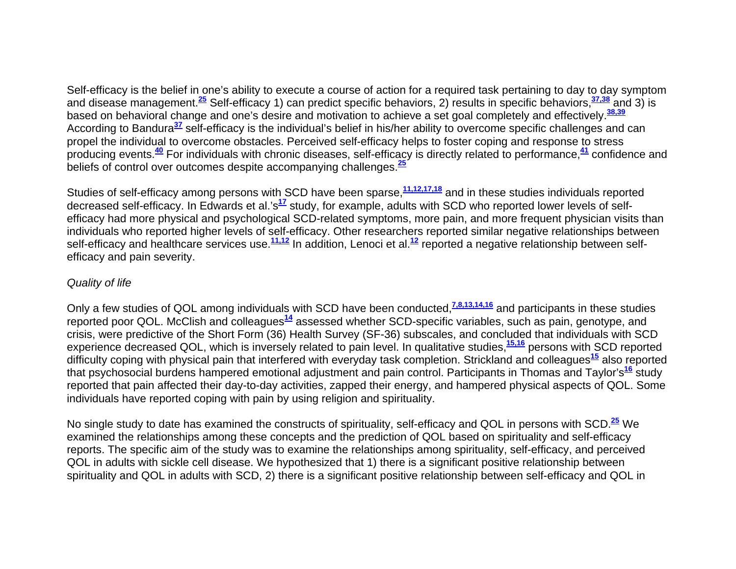Self-efficacy is the belief in one's ability to execute a course of action for a required task pertaining to day to day symptom and disease management.**<sup>25</sup>** Self-efficacy 1) can predict specific behaviors, 2) results in specific behaviors,**37,38** and 3) is based on behavioral change and one's desire and motivation to achieve a set goal completely and effectively.**38,39** According to Bandura**<sup>37</sup>** self-efficacy is the individual's belief in his/her ability to overcome specific challenges and can propel the individual to overcome obstacles. Perceived self-efficacy helps to foster coping and response to stress producing events.**<sup>40</sup>** For individuals with chronic diseases, self-efficacy is directly related to performance,**<sup>41</sup>** confidence and beliefs of control over outcomes despite accompanying challenges.**<sup>25</sup>**

Studies of self-efficacy among persons with SCD have been sparse,**11,12,17,18** and in these studies individuals reported decreased self-efficacy. In Edwards et al.'s**<sup>17</sup>** study, for example, adults with SCD who reported lower levels of selfefficacy had more physical and psychological SCD-related symptoms, more pain, and more frequent physician visits than individuals who reported higher levels of self-efficacy. Other researchers reported similar negative relationships between self-efficacy and healthcare services use.**11,12** In addition, Lenoci et al.**<sup>12</sup>** reported a negative relationship between selfefficacy and pain severity.

#### *Quality of life*

Only a few studies of QOL among individuals with SCD have been conducted,**7,8,13,14,16** and participants in these studies reported poor QOL. McClish and colleagues**<sup>14</sup>** assessed whether SCD-specific variables, such as pain, genotype, and crisis, were predictive of the Short Form (36) Health Survey (SF-36) subscales, and concluded that individuals with SCD experience decreased QOL, which is inversely related to pain level. In qualitative studies,**15,16** persons with SCD reported difficulty coping with physical pain that interfered with everyday task completion. Strickland and colleagues**<sup>15</sup>** also reported that psychosocial burdens hampered emotional adjustment and pain control. Participants in Thomas and Taylor's**<sup>16</sup>** study reported that pain affected their day-to-day activities, zapped their energy, and hampered physical aspects of QOL. Some individuals have reported coping with pain by using religion and spirituality.

No single study to date has examined the constructs of spirituality, self-efficacy and QOL in persons with SCD.**<sup>25</sup>** We examined the relationships among these concepts and the prediction of QOL based on spirituality and self-efficacy reports. The specific aim of the study was to examine the relationships among spirituality, self-efficacy, and perceived QOL in adults with sickle cell disease. We hypothesized that 1) there is a significant positive relationship between spirituality and QOL in adults with SCD, 2) there is a significant positive relationship between self-efficacy and QOL in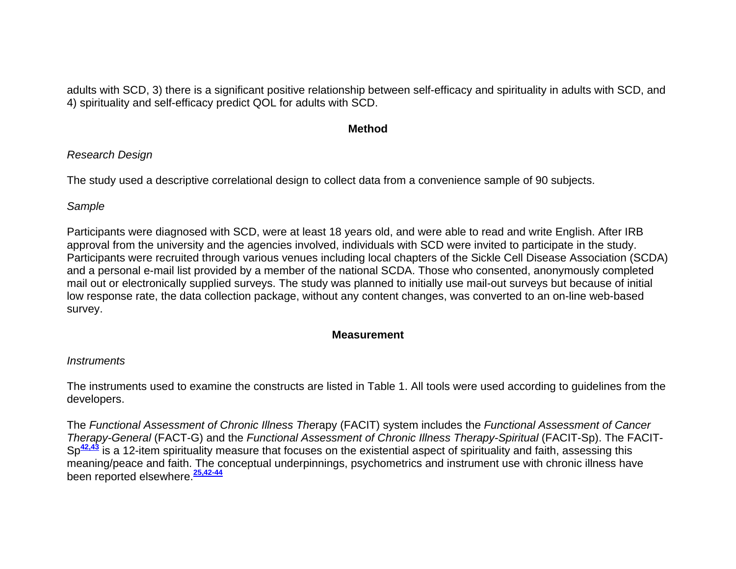adults with SCD, 3) there is a significant positive relationship between self-efficacy and spirituality in adults with SCD, and 4) spirituality and self-efficacy predict QOL for adults with SCD.

#### **Method**

## *Research Design*

The study used a descriptive correlational design to collect data from a convenience sample of 90 subjects.

## *Sample*

Participants were diagnosed with SCD, were at least 18 years old, and were able to read and write English. After IRB approval from the university and the agencies involved, individuals with SCD were invited to participate in the study. Participants were recruited through various venues including local chapters of the Sickle Cell Disease Association (SCDA) and a personal e-mail list provided by a member of the national SCDA. Those who consented, anonymously completed mail out or electronically supplied surveys. The study was planned to initially use mail-out surveys but because of initial low response rate, the data collection package, without any content changes, was converted to an on-line web-based survey.

## **Measurement**

## *Instruments*

The instruments used to examine the constructs are listed in Table 1. All tools were used according to guidelines from the developers.

The *Functional Assessment of Chronic Illness The*rapy (FACIT) system includes the *Functional Assessment of Cancer Therapy-General* (FACT-G) and the *Functional Assessment of Chronic Illness Therapy-Spiritual* (FACIT-Sp). The FACIT-Sp<sup>42,43</sup> is a 12-item spirituality measure that focuses on the existential aspect of spirituality and faith, assessing this meaning/peace and faith. The conceptual underpinnings, psychometrics and instrument use with chronic illness have been reported elsewhere.**25,42-44**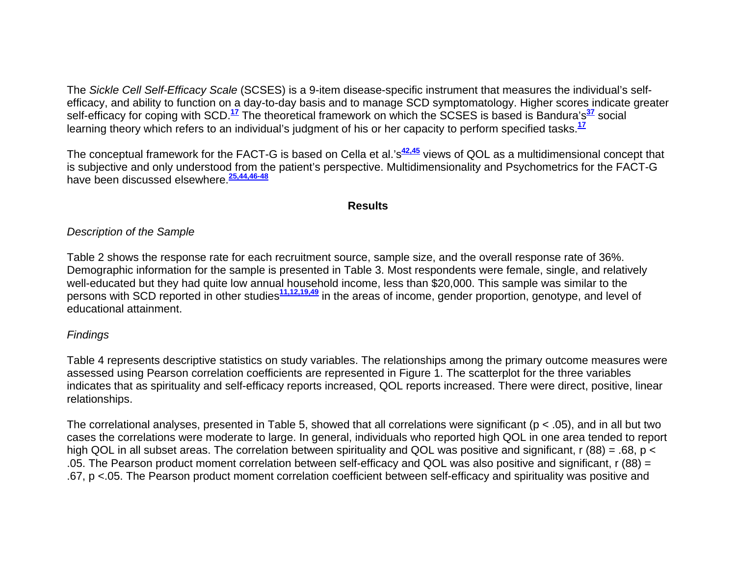The *Sickle Cell Self-Efficacy Scale* (SCSES) is a 9-item disease-specific instrument that measures the individual's selfefficacy, and ability to function on a day-to-day basis and to manage SCD symptomatology. Higher scores indicate greater self-efficacy for coping with SCD.**<sup>17</sup>** The theoretical framework on which the SCSES is based is Bandura's**<sup>37</sup>** social learning theory which refers to an individual's judgment of his or her capacity to perform specified tasks.**<sup>17</sup>**

The conceptual framework for the FACT-G is based on Cella et al.'s<sup>42,45</sup> views of QOL as a multidimensional concept that is subjective and only understood from the patient's perspective. Multidimensionality and Psychometrics for the FACT-G have been discussed elsewhere.**25,44,46-48**

#### **Results**

#### *Description of the Sample*

Table 2 shows the response rate for each recruitment source, sample size, and the overall response rate of 36%. Demographic information for the sample is presented in Table 3. Most respondents were female, single, and relatively well-educated but they had quite low annual household income, less than \$20,000. This sample was similar to the persons with SCD reported in other studies**11,12,19,49** in the areas of income, gender proportion, genotype, and level of educational attainment.

#### *Findings*

Table 4 represents descriptive statistics on study variables. The relationships among the primary outcome measures were assessed using Pearson correlation coefficients are represented in Figure 1. The scatterplot for the three variables indicates that as spirituality and self-efficacy reports increased, QOL reports increased. There were direct, positive, linear relationships.

The correlational analyses, presented in Table 5, showed that all correlations were significant (p < .05), and in all but two cases the correlations were moderate to large. In general, individuals who reported high QOL in one area tended to report high QOL in all subset areas. The correlation between spirituality and QOL was positive and significant, r (88) = .68, p < .05. The Pearson product moment correlation between self-efficacy and QOL was also positive and significant, r (88) = .67, p <.05. The Pearson product moment correlation coefficient between self-efficacy and spirituality was positive and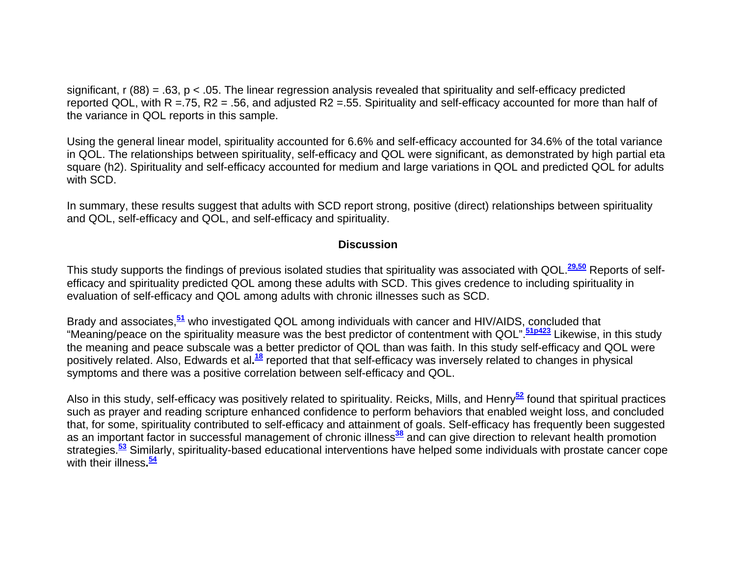significant,  $r(88) = .63$ ,  $p < .05$ . The linear regression analysis revealed that spirituality and self-efficacy predicted reported QOL, with R =.75, R2 = .56, and adjusted R2 =.55. Spirituality and self-efficacy accounted for more than half of the variance in QOL reports in this sample.

Using the general linear model, spirituality accounted for 6.6% and self-efficacy accounted for 34.6% of the total variance in QOL. The relationships between spirituality, self-efficacy and QOL were significant, as demonstrated by high partial eta square (h2). Spirituality and self-efficacy accounted for medium and large variations in QOL and predicted QOL for adults with SCD.

In summary, these results suggest that adults with SCD report strong, positive (direct) relationships between spirituality and QOL, self-efficacy and QOL, and self-efficacy and spirituality.

#### **Discussion**

This study supports the findings of previous isolated studies that spirituality was associated with QOL.**29,50** Reports of selfefficacy and spirituality predicted QOL among these adults with SCD. This gives credence to including spirituality in evaluation of self-efficacy and QOL among adults with chronic illnesses such as SCD.

Brady and associates,**<sup>51</sup>** who investigated QOL among individuals with cancer and HIV/AIDS, concluded that "Meaning/peace on the spirituality measure was the best predictor of contentment with QOL".**51p423** Likewise, in this study the meaning and peace subscale was a better predictor of QOL than was faith. In this study self-efficacy and QOL were positively related. Also, Edwards et al**.<sup>18</sup>** reported that that self-efficacy was inversely related to changes in physical symptoms and there was a positive correlation between self-efficacy and QOL.

Also in this study, self-efficacy was positively related to spirituality. Reicks, Mills, and Henry**<sup>52</sup>** found that spiritual practices such as prayer and reading scripture enhanced confidence to perform behaviors that enabled weight loss, and concluded that, for some, spirituality contributed to self-efficacy and attainment of goals. Self-efficacy has frequently been suggested as an important factor in successful management of chronic illness<sup>38</sup> and can give direction to relevant health promotion strategies.**<sup>53</sup>** Similarly, spirituality-based educational interventions have helped some individuals with prostate cancer cope with their illness**.<sup>54</sup>**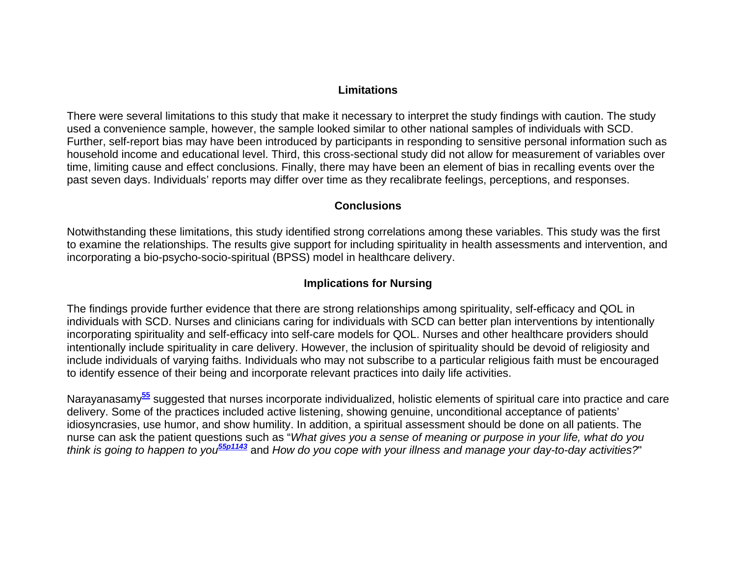#### **Limitations**

There were several limitations to this study that make it necessary to interpret the study findings with caution. The study used a convenience sample, however, the sample looked similar to other national samples of individuals with SCD. Further, self-report bias may have been introduced by participants in responding to sensitive personal information such as household income and educational level. Third, this cross-sectional study did not allow for measurement of variables over time, limiting cause and effect conclusions. Finally, there may have been an element of bias in recalling events over the past seven days. Individuals' reports may differ over time as they recalibrate feelings, perceptions, and responses.

#### **Conclusions**

Notwithstanding these limitations, this study identified strong correlations among these variables. This study was the first to examine the relationships. The results give support for including spirituality in health assessments and intervention, and incorporating a bio-psycho-socio-spiritual (BPSS) model in healthcare delivery.

#### **Implications for Nursing**

The findings provide further evidence that there are strong relationships among spirituality, self-efficacy and QOL in individuals with SCD. Nurses and clinicians caring for individuals with SCD can better plan interventions by intentionally incorporating spirituality and self-efficacy into self-care models for QOL. Nurses and other healthcare providers should intentionally include spirituality in care delivery. However, the inclusion of spirituality should be devoid of religiosity and include individuals of varying faiths. Individuals who may not subscribe to a particular religious faith must be encouraged to identify essence of their being and incorporate relevant practices into daily life activities.

Narayanasamy**<sup>55</sup>** suggested that nurses incorporate individualized, holistic elements of spiritual care into practice and care delivery. Some of the practices included active listening, showing genuine, unconditional acceptance of patients' idiosyncrasies, use humor, and show humility. In addition, a spiritual assessment should be done on all patients. The nurse can ask the patient questions such as "*What gives you a sense of meaning or purpose in your life, what do you think is going to happen to you55p1143* and *How do you cope with your illness and manage your day-to-day activities?*"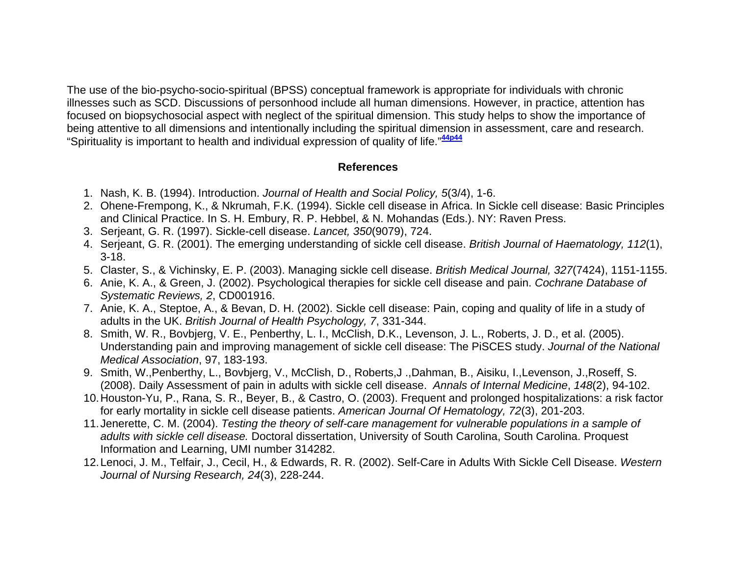The use of the bio-psycho-socio-spiritual (BPSS) conceptual framework is appropriate for individuals with chronic illnesses such as SCD. Discussions of personhood include all human dimensions. However, in practice, attention has focused on biopsychosocial aspect with neglect of the spiritual dimension. This study helps to show the importance of being attentive to all dimensions and intentionally including the spiritual dimension in assessment, care and research. "Spirituality is important to health and individual expression of quality of life."**44p44**

#### **References**

- 1. Nash, K. B. (1994). Introduction. *Journal of Health and Social Policy, 5*(3/4), 1-6.
- 2. Ohene-Frempong, K., & Nkrumah, F.K. (1994). Sickle cell disease in Africa. In Sickle cell disease: Basic Principles and Clinical Practice. In S. H. Embury, R. P. Hebbel, & N. Mohandas (Eds.). NY: Raven Press.
- 3. Serjeant, G. R. (1997). Sickle-cell disease. *Lancet, 350*(9079), 724.
- 4. Serjeant, G. R. (2001). The emerging understanding of sickle cell disease. *British Journal of Haematology, 112*(1), 3-18.
- 5. Claster, S., & Vichinsky, E. P. (2003). Managing sickle cell disease. *British Medical Journal, 327*(7424), 1151-1155.
- 6. Anie, K. A., & Green, J. (2002). Psychological therapies for sickle cell disease and pain. *Cochrane Database of Systematic Reviews, 2*, CD001916.
- 7. Anie, K. A., Steptoe, A., & Bevan, D. H. (2002). Sickle cell disease: Pain, coping and quality of life in a study of adults in the UK. *British Journal of Health Psychology, 7*, 331-344.
- 8. Smith, W. R., Bovbjerg, V. E., Penberthy, L. I., McClish, D.K., Levenson, J. L., Roberts, J. D., et al. (2005). Understanding pain and improving management of sickle cell disease: The PiSCES study. *Journal of the National Medical Association*, 97, 183-193.
- 9. Smith, W.,Penberthy, L., Bovbjerg, V., McClish, D., Roberts,J .,Dahman, B., Aisiku, I.,Levenson, J.,Roseff, S. (2008). Daily Assessment of pain in adults with sickle cell disease. *Annals of Internal Medicine*, *148*(2), 94-102.
- 10. Houston-Yu, P., Rana, S. R., Beyer, B., & Castro, O. (2003). Frequent and prolonged hospitalizations: a risk factor for early mortality in sickle cell disease patients. *American Journal Of Hematology, 72*(3), 201-203.
- 11. Jenerette, C. M. (2004). *Testing the theory of self-care management for vulnerable populations in a sample of adults with sickle cell disease.* Doctoral dissertation, University of South Carolina, South Carolina. Proquest Information and Learning, UMI number 314282.
- 12. Lenoci, J. M., Telfair, J., Cecil, H., & Edwards, R. R. (2002). Self-Care in Adults With Sickle Cell Disease. *Western Journal of Nursing Research, 24*(3), 228-244.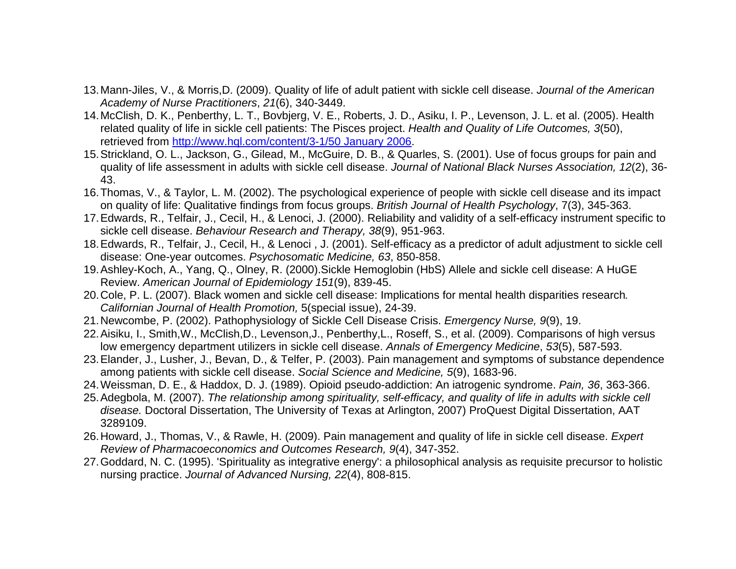- 13. Mann-Jiles, V., & Morris,D. (2009). Quality of life of adult patient with sickle cell disease. *Journal of the American Academy of Nurse Practitioners*, *21*(6), 340-3449.
- 14. McClish, D. K., Penberthy, L. T., Bovbjerg, V. E., Roberts, J. D., Asiku, I. P., Levenson, J. L. et al. (2005). Health related quality of life in sickle cell patients: The Pisces project. *Health and Quality of Life Outcomes, 3*(50), retrieved from http://www.hql.com/content/3-1/50 January 2006.
- 15. Strickland, O. L., Jackson, G., Gilead, M., McGuire, D. B., & Quarles, S. (2001). Use of focus groups for pain and quality of life assessment in adults with sickle cell disease. *Journal of National Black Nurses Association, 12*(2), 36- 43.
- 16. Thomas, V., & Taylor, L. M. (2002). The psychological experience of people with sickle cell disease and its impact on quality of life: Qualitative findings from focus groups. *British Journal of Health Psychology*, 7(3), 345-363.
- 17. Edwards, R., Telfair, J., Cecil, H., & Lenoci, J. (2000). Reliability and validity of a self-efficacy instrument specific to sickle cell disease. *Behaviour Research and Therapy, 38*(9), 951-963.
- 18. Edwards, R., Telfair, J., Cecil, H., & Lenoci , J. (2001). Self-efficacy as a predictor of adult adjustment to sickle cell disease: One-year outcomes. *Psychosomatic Medicine, 63*, 850-858.
- 19. Ashley-Koch, A., Yang, Q., Olney, R. (2000).Sickle Hemoglobin (HbS) Allele and sickle cell disease: A HuGE Review. *American Journal of Epidemiology 151*(9), 839-45.
- 20. Cole, P. L. (2007). Black women and sickle cell disease: Implications for mental health disparities research*. Californian Journal of Health Promotion,* 5(special issue), 24-39.
- 21. Newcombe, P. (2002). Pathophysiology of Sickle Cell Disease Crisis. *Emergency Nurse, 9*(9), 19.
- 22. Aisiku, I., Smith,W., McClish,D., Levenson,J., Penberthy,L., Roseff, S., et al. (2009). Comparisons of high versus low emergency department utilizers in sickle cell disease. *Annals of Emergency Medicine*, *53*(5), 587-593.
- 23. Elander, J., Lusher, J., Bevan, D., & Telfer, P. (2003). Pain management and symptoms of substance dependence among patients with sickle cell disease. *Social Science and Medicine, 5*(9), 1683-96.
- 24. Weissman, D. E., & Haddox, D. J. (1989). Opioid pseudo-addiction: An iatrogenic syndrome. *Pain, 36*, 363-366.
- 25. Adegbola, M. (2007). *The relationship among spirituality, self-efficacy, and quality of life in adults with sickle cell disease.* Doctoral Dissertation, The University of Texas at Arlington, 2007) ProQuest Digital Dissertation, AAT 3289109.
- 26. Howard, J., Thomas, V., & Rawle, H. (2009). Pain management and quality of life in sickle cell disease. *Expert Review of Pharmacoeconomics and Outcomes Research, 9*(4), 347-352.
- 27. Goddard, N. C. (1995). 'Spirituality as integrative energy': a philosophical analysis as requisite precursor to holistic nursing practice. *Journal of Advanced Nursing, 22*(4), 808-815.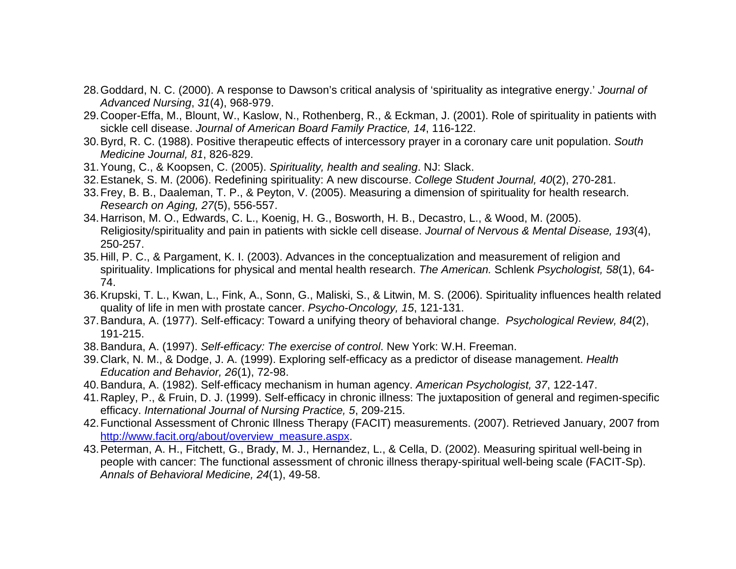- 28. Goddard, N. C. (2000). A response to Dawson's critical analysis of 'spirituality as integrative energy.' *Journal of Advanced Nursing*, *31*(4), 968-979.
- 29. Cooper-Effa, M., Blount, W., Kaslow, N., Rothenberg, R., & Eckman, J. (2001). Role of spirituality in patients with sickle cell disease. *Journal of American Board Family Practice, 14*, 116-122.
- 30. Byrd, R. C. (1988). Positive therapeutic effects of intercessory prayer in a coronary care unit population. *South Medicine Journal, 81*, 826-829.
- 31. Young, C., & Koopsen, C. (2005). *Spirituality, health and sealing*. NJ: Slack.
- 32. Estanek, S. M. (2006). Redefining spirituality: A new discourse. *College Student Journal, 40*(2), 270-281.
- 33. Frey, B. B., Daaleman, T. P., & Peyton, V. (2005). Measuring a dimension of spirituality for health research. *Research on Aging, 27*(5), 556-557.
- 34. Harrison, M. O., Edwards, C. L., Koenig, H. G., Bosworth, H. B., Decastro, L., & Wood, M. (2005). Religiosity/spirituality and pain in patients with sickle cell disease. *Journal of Nervous & Mental Disease, 193*(4), 250-257.
- 35. Hill, P. C., & Pargament, K. I. (2003). Advances in the conceptualization and measurement of religion and spirituality. Implications for physical and mental health research. *The American.* Schlenk *Psychologist, 58*(1), 64- 74.
- 36. Krupski, T. L., Kwan, L., Fink, A., Sonn, G., Maliski, S., & Litwin, M. S. (2006). Spirituality influences health related quality of life in men with prostate cancer. *Psycho-Oncology, 15*, 121-131.
- 37. Bandura, A. (1977). Self-efficacy: Toward a unifying theory of behavioral change. *Psychological Review, 84*(2), 191-215.
- 38. Bandura, A. (1997). *Self-efficacy: The exercise of control*. New York: W.H. Freeman.
- 39. Clark, N. M., & Dodge, J. A. (1999). Exploring self-efficacy as a predictor of disease management. *Health Education and Behavior, 26*(1), 72-98.
- 40. Bandura, A. (1982). Self-efficacy mechanism in human agency. *American Psychologist, 37*, 122-147.
- 41. Rapley, P., & Fruin, D. J. (1999). Self-efficacy in chronic illness: The juxtaposition of general and regimen-specific efficacy. *International Journal of Nursing Practice, 5*, 209-215.
- 42. Functional Assessment of Chronic Illness Therapy (FACIT) measurements. (2007). Retrieved January, 2007 from http://www.facit.org/about/overview\_measure.aspx.
- 43. Peterman, A. H., Fitchett, G., Brady, M. J., Hernandez, L., & Cella, D. (2002). Measuring spiritual well-being in people with cancer: The functional assessment of chronic illness therapy-spiritual well-being scale (FACIT-Sp). *Annals of Behavioral Medicine, 24*(1), 49-58.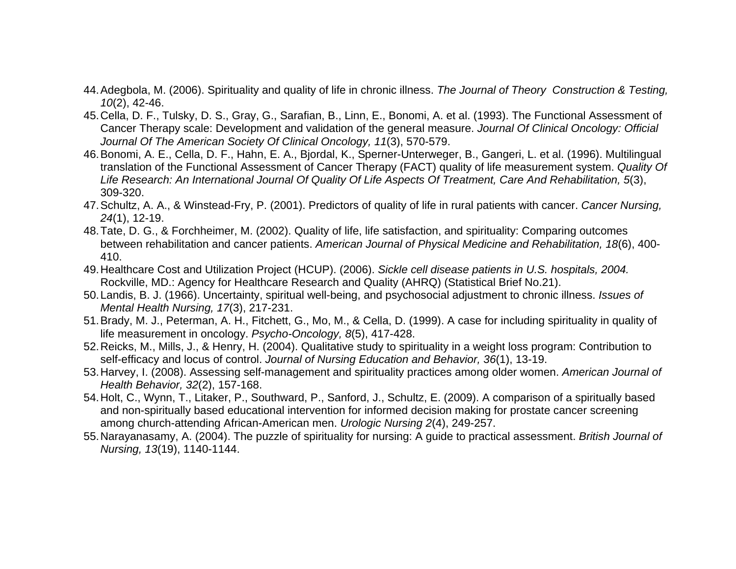- 44. Adegbola, M. (2006). Spirituality and quality of life in chronic illness. *The Journal of Theory Construction & Testing, 10*(2), 42-46.
- 45. Cella, D. F., Tulsky, D. S., Gray, G., Sarafian, B., Linn, E., Bonomi, A. et al. (1993). The Functional Assessment of Cancer Therapy scale: Development and validation of the general measure. *Journal Of Clinical Oncology: Official Journal Of The American Society Of Clinical Oncology, 11*(3), 570-579.
- 46. Bonomi, A. E., Cella, D. F., Hahn, E. A., Bjordal, K., Sperner-Unterweger, B., Gangeri, L. et al. (1996). Multilingual translation of the Functional Assessment of Cancer Therapy (FACT) quality of life measurement system. *Quality Of Life Research: An International Journal Of Quality Of Life Aspects Of Treatment, Care And Rehabilitation, 5*(3), 309-320.
- 47. Schultz, A. A., & Winstead-Fry, P. (2001). Predictors of quality of life in rural patients with cancer. *Cancer Nursing, 24*(1), 12-19.
- 48. Tate, D. G., & Forchheimer, M. (2002). Quality of life, life satisfaction, and spirituality: Comparing outcomes between rehabilitation and cancer patients. *American Journal of Physical Medicine and Rehabilitation, 18*(6), 400- 410.
- 49. Healthcare Cost and Utilization Project (HCUP). (2006). *Sickle cell disease patients in U.S. hospitals, 2004.* Rockville, MD.: Agency for Healthcare Research and Quality (AHRQ) (Statistical Brief No.21).
- 50. Landis, B. J. (1966). Uncertainty, spiritual well-being, and psychosocial adjustment to chronic illness. *Issues of Mental Health Nursing, 17*(3), 217-231.
- 51. Brady, M. J., Peterman, A. H., Fitchett, G., Mo, M., & Cella, D. (1999). A case for including spirituality in quality of life measurement in oncology. *Psycho-Oncology, 8*(5), 417-428.
- 52. Reicks, M., Mills, J., & Henry, H. (2004). Qualitative study to spirituality in a weight loss program: Contribution to self-efficacy and locus of control. *Journal of Nursing Education and Behavior, 36*(1), 13-19.
- 53. Harvey, I. (2008). Assessing self-management and spirituality practices among older women. *American Journal of Health Behavior, 32*(2), 157-168.
- 54. Holt, C., Wynn, T., Litaker, P., Southward, P., Sanford, J., Schultz, E. (2009). A comparison of a spiritually based and non-spiritually based educational intervention for informed decision making for prostate cancer screening among church-attending African-American men. *Urologic Nursing 2*(4), 249-257.
- 55. Narayanasamy, A. (2004). The puzzle of spirituality for nursing: A guide to practical assessment. *British Journal of Nursing, 13*(19), 1140-1144.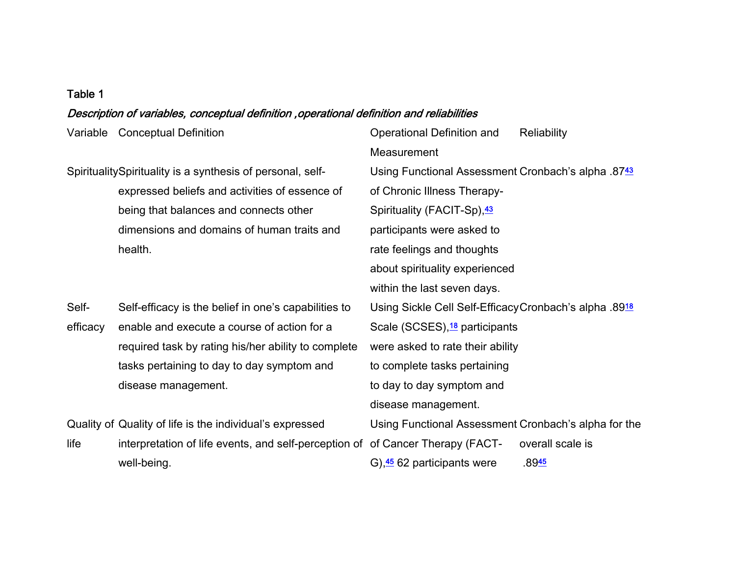#### Table 1

#### Description of variables, conceptual definition ,operational definition and reliabilities

Variable Conceptual Definition Conceptual Definition Conceptual Definition and

**Measurement** SpiritualitySpirituality is a synthesis of personal, selfexpressed beliefs and activities of essence of being that balances and connects other dimensions and domains of human traits and health. Using Functional Assessment Cronbach's alpha .8743 of Chronic Illness Therapy-Spirituality (FACIT-Sp), 43 participants were asked to rate feelings and thoughts about spirituality experienced within the last seven days. Self-Self-Self-efficacy is the belief in one's capabilities to efficacy enable and execute a course of action for a required task by rating his/her ability to complete tasks pertaining to day to day symptom and disease management. Using Sickle Cell Self-Efficacy Cronbach's alpha .8918 Scale (SCSES),<sup>18</sup> participants were asked to rate their ability to complete tasks pertaining to day to day symptom and disease management. Quality of Quality of life is the individual's expressed life interpretation of life events, and self-perception of of Cancer Therapy (FACTwell-being. Using Functional Assessment Cronbach's alpha for the G),45 62 participants were overall scale is  $.8945$ 

**Reliability**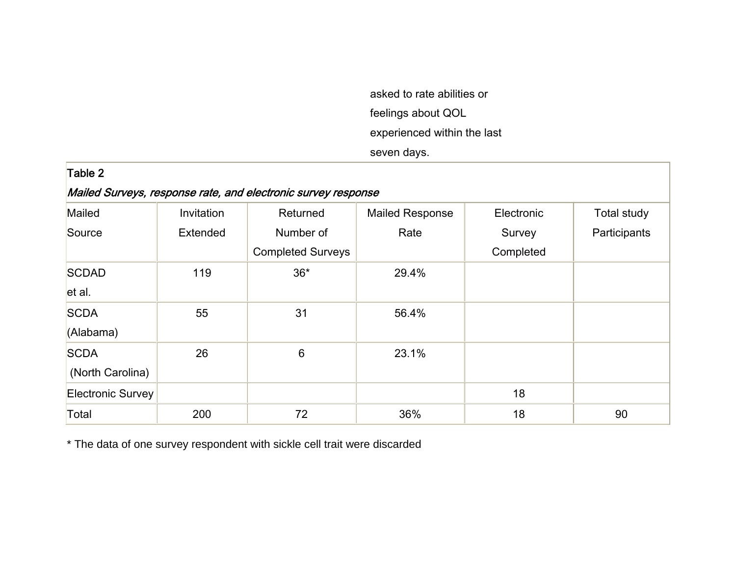asked to rate abilities or feelings about QOL experienced within the last seven days.

| Table 2                                                       |            |                          |                        |            |              |  |  |
|---------------------------------------------------------------|------------|--------------------------|------------------------|------------|--------------|--|--|
| Mailed Surveys, response rate, and electronic survey response |            |                          |                        |            |              |  |  |
| Mailed                                                        | Invitation | Returned                 | <b>Mailed Response</b> | Electronic | Total study  |  |  |
| Source                                                        | Extended   | Number of                | Rate                   | Survey     | Participants |  |  |
|                                                               |            | <b>Completed Surveys</b> |                        | Completed  |              |  |  |
| <b>SCDAD</b>                                                  | 119        | $36*$                    | 29.4%                  |            |              |  |  |
| let al.                                                       |            |                          |                        |            |              |  |  |
| <b>SCDA</b>                                                   | 55         | 31                       | 56.4%                  |            |              |  |  |
| (Alabama)                                                     |            |                          |                        |            |              |  |  |
| <b>SCDA</b>                                                   | 26         | 6                        | 23.1%                  |            |              |  |  |
| (North Carolina)                                              |            |                          |                        |            |              |  |  |
| Electronic Survey                                             |            |                          |                        | 18         |              |  |  |
| Total                                                         | 200        | 72                       | 36%                    | 18         | 90           |  |  |

\* The data of one survey respondent with sickle cell trait were discarded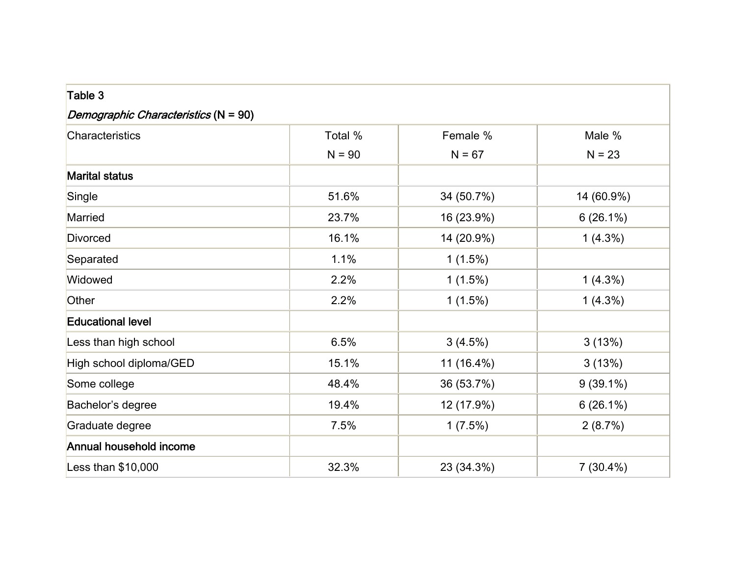| Table 3                              |          |            |             |  |  |  |  |
|--------------------------------------|----------|------------|-------------|--|--|--|--|
| Demographic Characteristics (N = 90) |          |            |             |  |  |  |  |
| Characteristics                      | Total %  | Female %   | Male %      |  |  |  |  |
|                                      | $N = 90$ | $N = 67$   | $N = 23$    |  |  |  |  |
| <b>Marital status</b>                |          |            |             |  |  |  |  |
| Single                               | 51.6%    | 34 (50.7%) | 14 (60.9%)  |  |  |  |  |
| Married                              | 23.7%    | 16 (23.9%) | $6(26.1\%)$ |  |  |  |  |
| Divorced                             | 16.1%    | 14 (20.9%) | $1(4.3\%)$  |  |  |  |  |
| Separated                            | 1.1%     | $1(1.5\%)$ |             |  |  |  |  |
| Widowed                              | 2.2%     | $1(1.5\%)$ | $1(4.3\%)$  |  |  |  |  |
| Other                                | 2.2%     | $1(1.5\%)$ | $1(4.3\%)$  |  |  |  |  |
| <b>Educational level</b>             |          |            |             |  |  |  |  |
| Less than high school                | 6.5%     | $3(4.5\%)$ | 3(13%)      |  |  |  |  |
| High school diploma/GED              | 15.1%    | 11 (16.4%) | 3(13%)      |  |  |  |  |
| Some college                         | 48.4%    | 36 (53.7%) | $9(39.1\%)$ |  |  |  |  |
| Bachelor's degree                    | 19.4%    | 12 (17.9%) | $6(26.1\%)$ |  |  |  |  |
| Graduate degree                      | 7.5%     | $1(7.5\%)$ | 2(8.7%)     |  |  |  |  |
| Annual household income              |          |            |             |  |  |  |  |
| Less than \$10,000                   | 32.3%    | 23 (34.3%) | $7(30.4\%)$ |  |  |  |  |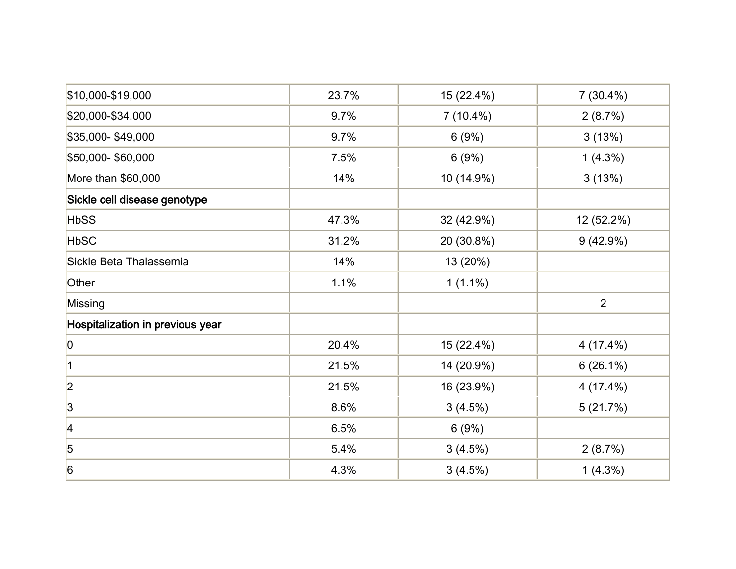| \$10,000-\$19,000                | 23.7% | 15 (22.4%)  | $7(30.4\%)$    |
|----------------------------------|-------|-------------|----------------|
| \$20,000-\$34,000                | 9.7%  | $7(10.4\%)$ | 2(8.7%)        |
| \$35,000-\$49,000                | 9.7%  | 6(9%)       | 3(13%)         |
| \$50,000-\$60,000                | 7.5%  | 6(9%)       | $1(4.3\%)$     |
| More than \$60,000               | 14%   | 10 (14.9%)  | 3(13%)         |
| Sickle cell disease genotype     |       |             |                |
| <b>HbSS</b>                      | 47.3% | 32 (42.9%)  | 12 (52.2%)     |
| <b>HbSC</b>                      | 31.2% | 20 (30.8%)  | $9(42.9\%)$    |
| Sickle Beta Thalassemia          | 14%   | 13 (20%)    |                |
| Other                            | 1.1%  | $1(1.1\%)$  |                |
| Missing                          |       |             | $\overline{2}$ |
| Hospitalization in previous year |       |             |                |
| 0                                | 20.4% | 15 (22.4%)  | 4(17.4%)       |
| 1                                | 21.5% | 14 (20.9%)  | $6(26.1\%)$    |
| $\overline{2}$                   | 21.5% | 16 (23.9%)  | 4(17.4%)       |
| $\overline{3}$                   | 8.6%  | $3(4.5\%)$  | 5(21.7%)       |
| 4                                | 6.5%  | 6(9%)       |                |
| 5                                | 5.4%  | $3(4.5\%)$  | 2(8.7%)        |
| 6                                | 4.3%  | $3(4.5\%)$  | $1(4.3\%)$     |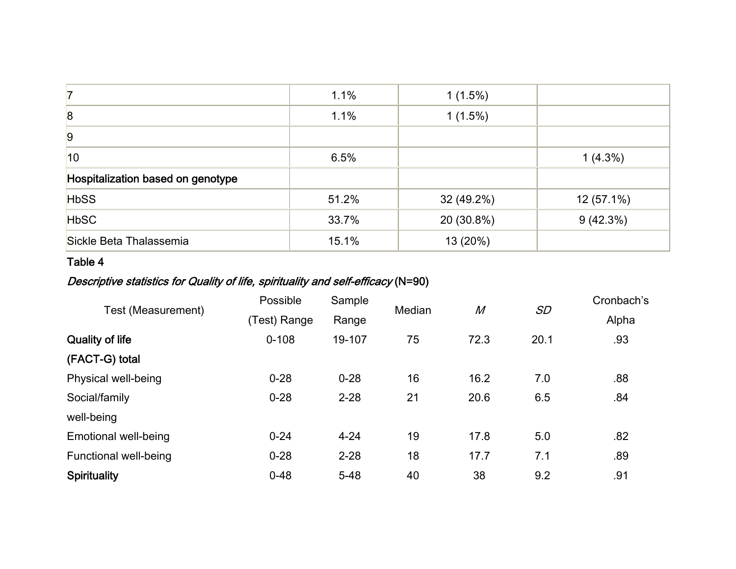| 7                                 | 1.1%  | $1(1.5\%)$ |            |
|-----------------------------------|-------|------------|------------|
| 8                                 | 1.1%  | $1(1.5\%)$ |            |
| 9                                 |       |            |            |
| 10                                | 6.5%  |            | $1(4.3\%)$ |
| Hospitalization based on genotype |       |            |            |
| <b>HbSS</b>                       | 51.2% | 32 (49.2%) | 12 (57.1%) |
| <b>HbSC</b>                       | 33.7% | 20 (30.8%) | 9(42.3%)   |
| Sickle Beta Thalassemia           | 15.1% | 13 (20%)   |            |

#### Table 4

# Descriptive statistics for Quality of life, spirituality and self-efficacy (N=90)

| Test (Measurement)          | Possible     | Sample   | Median | $\overline{M}$ | SD   | Cronbach's |
|-----------------------------|--------------|----------|--------|----------------|------|------------|
|                             | (Test) Range | Range    |        |                |      | Alpha      |
| <b>Quality of life</b>      | $0 - 108$    | 19-107   | 75     | 72.3           | 20.1 | .93        |
| (FACT-G) total              |              |          |        |                |      |            |
| Physical well-being         | $0 - 28$     | $0 - 28$ | 16     | 16.2           | 7.0  | .88        |
| Social/family               | $0 - 28$     | $2 - 28$ | 21     | 20.6           | 6.5  | .84        |
| well-being                  |              |          |        |                |      |            |
| <b>Emotional well-being</b> | $0 - 24$     | $4 - 24$ | 19     | 17.8           | 5.0  | .82        |
| Functional well-being       | $0 - 28$     | $2 - 28$ | 18     | 17.7           | 7.1  | .89        |
| <b>Spirituality</b>         | $0 - 48$     | $5 - 48$ | 40     | 38             | 9.2  | .91        |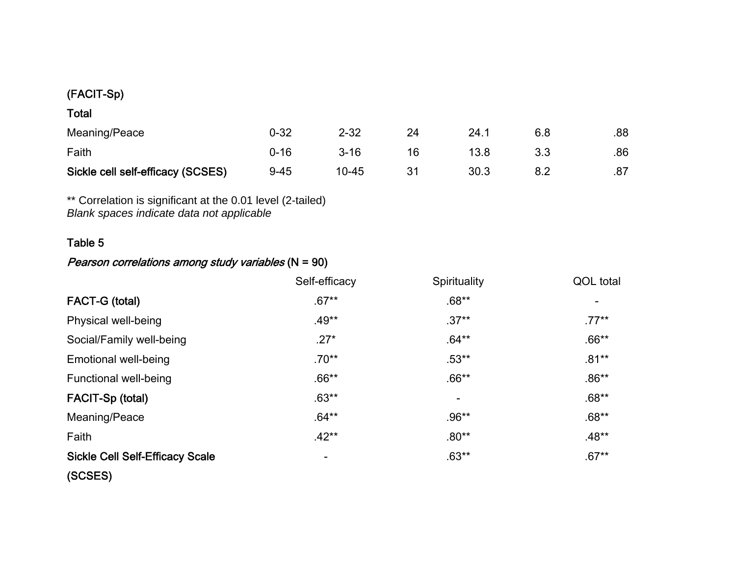## (FACIT-Sp)

| $\sim$<br>۰.<br>× |
|-------------------|
|-------------------|

| Meaning/Peace                     | $0 - 32$ | $2 - 32$  | 24.1 | .88 |
|-----------------------------------|----------|-----------|------|-----|
| Faith                             | 0-16     | $3 - 16$  | 13.8 | .86 |
| Sickle cell self-efficacy (SCSES) | $9 - 45$ | $10 - 45$ | 30.3 | .87 |

\*\* Correlation is significant at the 0.01 level (2-tailed) *Blank spaces indicate data not applicable*

## Table 5

## Pearson correlations among study variables (N = 90)

|                                        | Self-efficacy | Spirituality             | QOL total |
|----------------------------------------|---------------|--------------------------|-----------|
| FACT-G (total)                         | $.67**$       | $.68**$                  |           |
| Physical well-being                    | $.49**$       | $.37**$                  | $.77***$  |
| Social/Family well-being               | $.27*$        | $.64***$                 | $.66**$   |
| <b>Emotional well-being</b>            | $.70**$       | $.53**$                  | $.81**$   |
| <b>Functional well-being</b>           | $.66**$       | $.66**$                  | $.86**$   |
| FACIT-Sp (total)                       | $.63**$       | $\overline{\phantom{a}}$ | $.68**$   |
| Meaning/Peace                          | $.64**$       | $.96**$                  | $.68**$   |
| Faith                                  | $.42**$       | $.80**$                  | $.48**$   |
| <b>Sickle Cell Self-Efficacy Scale</b> |               | $.63**$                  | $.67**$   |
| (SCSES)                                |               |                          |           |